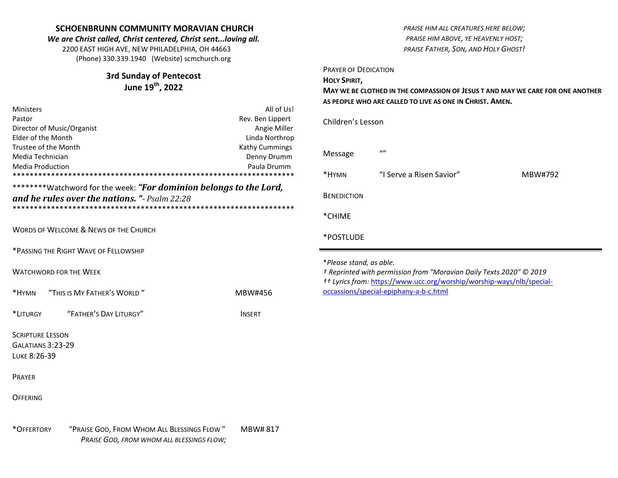#### **SCHOENBRUNN COMMUNITY MORAVIAN CHURCH** *We are Christ called, Christ centered, Christ sent...loving all.* 2200 EAST HIGH AVE, NEW PHILADELPHIA, OH 44663 (Phone) 330.339.1940 (Website) scmchurch.org **3rd Sunday of Pentecost June 19th , 2022** Ministers **All of Us!** Pastor **Rev. Ben Lippert** Rev. Ben Lippert Director of Music/Organist **Angie Miller** Angie Miller Elder of the Month Linda Northrop Trustee of the Month Trustee of the Month Kathy Cummings Media Technician **Denny Drumm** Denny Drumm Denny Drumm Media Production Paula Drumm \*\*\*\*\*\*\*\*\*\*\*\*\*\*\*\*\*\*\*\*\*\*\*\*\*\*\*\*\*\*\*\*\*\*\*\*\*\*\*\*\*\*\*\*\*\*\*\*\*\*\*\*\*\*\*\*\*\*\*\*\*\*\*\*\*\* \*\*\*\*\*\*\*\*\*Watchword for the week: "For dominion belongs to the Lord, *and he rules over the nations. "- Psalm 22:28* \*\*\*\*\*\*\*\*\*\*\*\*\*\*\*\*\*\*\*\*\*\*\*\*\*\*\*\*\*\*\*\*\*\*\*\*\*\*\*\*\*\*\*\*\*\*\*\*\*\*\*\*\*\*\*\*\*\*\*\*\*\*\*\*\*\* WORDS OF WELCOME & NEWS OF THE CHURCH \*PASSING THE RIGHT WAVE OF FELLOWSHIP WATCHWORD FOR THE WEEK \*HYMN "THIS IS MY FATHER'S WORLD " MBW#456 \*LITURGY "FATHER'S DAY LITURGY" INSERT SCRIPTURE LESSON GALATIANS 3:23-29 LUKE 8:26-39 PRAYER *PRAISE HIM ALL CREATURES HERE BELOW; PRAISE HIM ABOVE, YE HEAVENLY HOST; PRAISE FATHER, SON, AND HOLY GHOST!* PRAYER OF DEDICATION **HOLY SPIRIT, MAY WE BE CLOTHED IN THE COMPASSION OF JESUS T AND MAY WE CARE FOR ONE ANOTHER AS PEOPLE WHO ARE CALLED TO LIVE AS ONE IN CHRIST. AMEN.** Children's Lesson Message "" \*HYMN "I Serve a Risen Savior" MBW#792 **BENEDICTION** \*CHIME \*POSTLUDE \**Please stand, as able. † Reprinted with permission from "Moravian Daily Texts 2020" © 2019 †† Lyrics from:* [https://www.ucc.org/worship/worship-ways/nlb/special](https://www.ucc.org/worship/worship-ways/nlb/special-occassions/special-epiphany-a-b-c.html)[occassions/special-epiphany-a-b-c.html](https://www.ucc.org/worship/worship-ways/nlb/special-occassions/special-epiphany-a-b-c.html)

**OFFERING**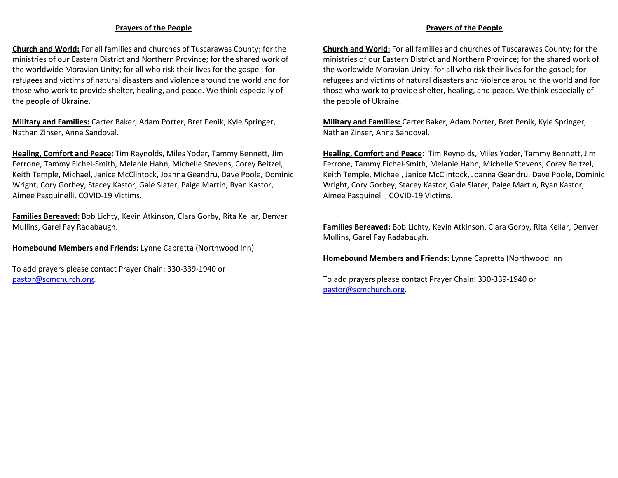### **Prayers of the People**

**Church and World:** For all families and churches of Tuscarawas County; for the ministries of our Eastern District and Northern Province; for the shared work of the worldwide Moravian Unity; for all who risk their lives for the gospel; for refugees and victims of natural disasters and violence around the world and for those who work to provide shelter, healing, and peace. We think especially of the people of Ukraine.

**Military and Families:** Carter Baker, Adam Porter, Bret Penik, Kyle Springer, Nathan Zinser, Anna Sandoval.

**Healing, Comfort and Peace:** Tim Reynolds, Miles Yoder, Tammy Bennett, Jim Ferrone, Tammy Eichel-Smith, Melanie Hahn, Michelle Stevens, Corey Beitzel, Keith Temple, Michael, Janice McClintock, Joanna Geandru, Dave Poole**,** Dominic Wright, Cory Gorbey, Stacey Kastor, Gale Slater, Paige Martin, Ryan Kastor, Aimee Pasquinelli, COVID-19 Victims.

**Families Bereaved:** Bob Lichty, Kevin Atkinson, Clara Gorby, Rita Kellar, Denver Mullins, Garel Fay Radabaugh.

**Homebound Members and Friends:** Lynne Capretta (Northwood Inn).

To add prayers please contact Prayer Chain: 330-339-1940 or [pastor@scmchurch.org.](mailto:pastor@scmchurch.org)

# **Church and World:** For all families and churches of Tuscarawas County; for the ministries of our Eastern District and Northern Province; for the shared work of

the worldwide Moravian Unity; for all who risk their lives for the gospel; for refugees and victims of natural disasters and violence around the world and for those who work to provide shelter, healing, and peace. We think especially of the people of Ukraine.

**Prayers of the People** 

**Military and Families:** Carter Baker, Adam Porter, Bret Penik, Kyle Springer, Nathan Zinser, Anna Sandoval.

**Healing, Comfort and Peace**: Tim Reynolds, Miles Yoder, Tammy Bennett, Jim Ferrone, Tammy Eichel-Smith, Melanie Hahn, Michelle Stevens, Corey Beitzel, Keith Temple, Michael, Janice McClintock, Joanna Geandru, Dave Poole**,** Dominic Wright, Cory Gorbey, Stacey Kastor, Gale Slater, Paige Martin, Ryan Kastor, Aimee Pasquinelli, COVID-19 Victims.

**Families Bereaved:** Bob Lichty, Kevin Atkinson, Clara Gorby, Rita Kellar, Denver Mullins, Garel Fay Radabaugh.

**Homebound Members and Friends:** Lynne Capretta (Northwood Inn

To add prayers please contact Prayer Chain: 330-339-1940 or [pastor@scmchurch.org.](mailto:pastor@scmchurch.org)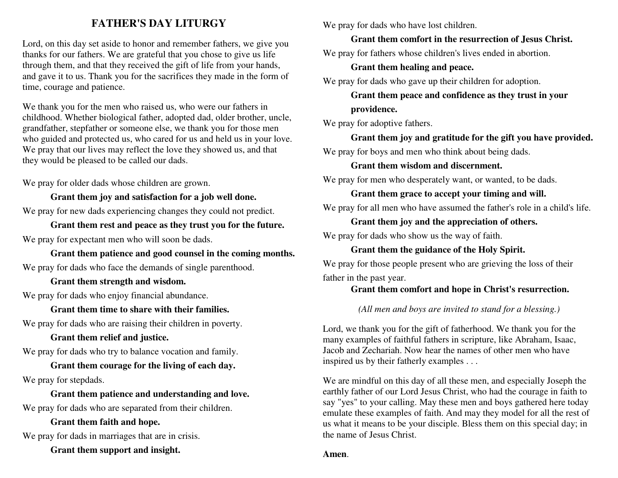## **FATHER'S DAY LITURGY**

Lord, on this day set aside to honor and remember fathers, we give you thanks for our fathers. We are grateful that you chose to give us life through them, and that they received the gift of life from your hands, and gave it to us. Thank you for the sacrifices they made in the form of time, courage and patience.

We thank you for the men who raised us, who were our fathers in childhood. Whether biological father, adopted dad, older brother, uncle, grandfather, stepfather or someone else, we thank you for those men who guided and protected us, who cared for us and held us in your love. We pray that our lives may reflect the love they showed us, and that they would be pleased to be called our dads.

We pray for older dads whose children are grown.

**Grant them joy and satisfaction for a job well done.**  We pray for new dads experiencing changes they could not predict.

**Grant them rest and peace as they trust you for the future.**  We pray for expectant men who will soon be dads.

**Grant them patience and good counsel in the coming months.**  We pray for dads who face the demands of single parenthood.

**Grant them strength and wisdom.** 

We pray for dads who enjoy financial abundance.

**Grant them time to share with their families.** 

We pray for dads who are raising their children in poverty.

**Grant them relief and justice.** 

We pray for dads who try to balance vocation and family.

**Grant them courage for the living of each day.**  We pray for stepdads.

**Grant them patience and understanding and love.**  We pray for dads who are separated from their children.

**Grant them faith and hope.** 

We pray for dads in marriages that are in crisis.

**Grant them support and insight.** 

We pray for dads who have lost children.

**Grant them comfort in the resurrection of Jesus Christ.** 

We pray for fathers whose children's lives ended in abortion.

### **Grant them healing and peace.**

We pray for dads who gave up their children for adoption.

**Grant them peace and confidence as they trust in your providence.** 

We pray for adoptive fathers.

**Grant them joy and gratitude for the gift you have provided.**  We pray for boys and men who think about being dads.

**Grant them wisdom and discernment.** 

We pray for men who desperately want, or wanted, to be dads.

**Grant them grace to accept your timing and will.** 

We pray for all men who have assumed the father's role in a child's life.

**Grant them joy and the appreciation of others.** 

We pray for dads who show us the way of faith.

**Grant them the guidance of the Holy Spirit.** 

We pray for those people present who are grieving the loss of their father in the past year.

### **Grant them comfort and hope in Christ's resurrection.**

*(All men and boys are invited to stand for a blessing.)* 

Lord, we thank you for the gift of fatherhood. We thank you for the many examples of faithful fathers in scripture, like Abraham, Isaac, Jacob and Zechariah. Now hear the names of other men who have inspired us by their fatherly examples . . .

We are mindful on this day of all these men, and especially Joseph the earthly father of our Lord Jesus Christ, who had the courage in faith to say "yes" to your calling. May these men and boys gathered here today emulate these examples of faith. And may they model for all the rest of us what it means to be your disciple. Bless them on this special day; in the name of Jesus Christ.

**Amen**.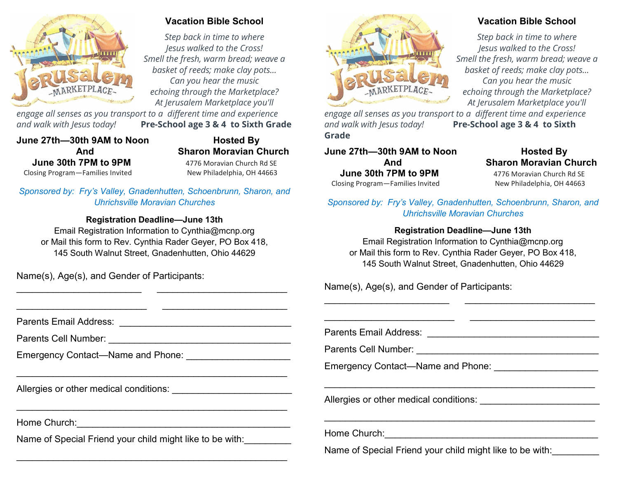

### **Vacation Bible School**

*Step back in time to where Jesus walked to the Cross! Smell the fresh, warm bread; weave a basket of reeds; make clay pots... Can you hear the music echoing through the Marketplace? At Jerusalem Marketplace you'll* 

*engage all senses as you transport to a different time and experience and walk with Jesus today!* **Pre-School age 3 & 4 to Sixth Grade**

**June 27th—30th 9AM to Noon Hosted By June 30th 7PM to 9PM 4776 Moravian Church Rd SF** Closing Program—Families Invited New Philadelphia, OH 44663

 **And Sharon Moravian Church**

*Sponsored by: Fry's Valley, Gnadenhutten, Schoenbrunn, Sharon, and Uhrichsville Moravian Churches*

### **Registration Deadline—June 13th**

Email Registration Information to Cynthia@mcnp.org or Mail this form to Rev. Cynthia Rader Geyer, PO Box 418, 145 South Walnut Street, Gnadenhutten, Ohio 44629

\_\_\_\_\_\_\_\_\_\_\_\_\_\_\_\_\_\_\_\_\_\_\_\_ \_\_\_\_\_\_\_\_\_\_\_\_\_\_\_\_\_\_\_\_\_\_\_\_\_

Name(s), Age(s), and Gender of Participants:

*engage all senses as you transport to a different time and experience and walk with Jesus today!* **Pre-School age 3 & 4 to Sixth Grade**

**June 27th—30th 9AM to Noon Hosted By June 30th 7PM to 9PM** 4776 Moravian Church Rd SE<br>
posing Program—Families Invited New Philadelphia, OH 44663 Closing Program—Families Invited

# **And Sharon Moravian Church**

*Sponsored by: Fry's Valley, Gnadenhutten, Schoenbrunn, Sharon, and Uhrichsville Moravian Churches*

### **Registration Deadline—June 13th**

Email Registration Information to Cynthia@mcnp.org or Mail this form to Rev. Cynthia Rader Geyer, PO Box 418, 145 South Walnut Street, Gnadenhutten, Ohio 44629

Name(s), Age(s), and Gender of Participants:

| Emergency Contact—Name and Phone: University Management Control of Theorem 2014 |                                                          |
|---------------------------------------------------------------------------------|----------------------------------------------------------|
|                                                                                 | Emergency Contact—Name and Phone:                        |
| Allergies or other medical conditions:                                          | Allergies or other medical conditions:                   |
| Home Church:                                                                    |                                                          |
| Name of Special Friend your child might like to be with:                        |                                                          |
|                                                                                 | Name of Special Friend your child might like to be with: |
|                                                                                 |                                                          |

## **Vacation Bible School**

*Step back in time to where Jesus walked to the Cross! Smell the fresh, warm bread; weave a basket of reeds; make clay pots... Can you hear the music echoing through the Marketplace? At Jerusalem Marketplace you'll*